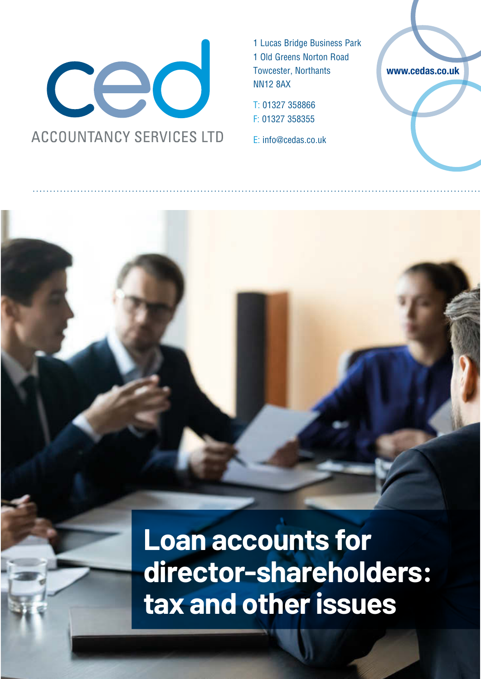

1 Lucas Bridge Business Park 1 Old Greens Norton Road Towcester, Northants NN12 8AX

T: 01327 358866 F: 01327 358355

E: info@cedas.co.uk

**www.cedas.co.uk**

**Loan accounts for director-shareholders: tax and other issues**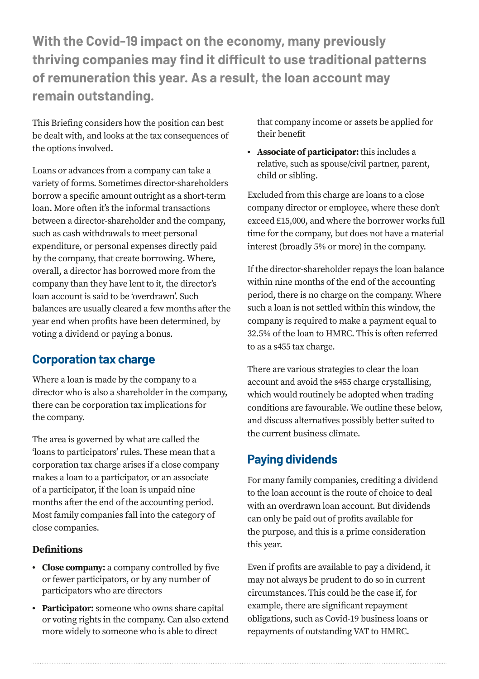**With the Covid-19 impact on the economy, many previously thriving companies may find it difficult to use traditional patterns of remuneration this year. As a result, the loan account may remain outstanding.** 

This Briefing considers how the position can best be dealt with, and looks at the tax consequences of the options involved.

Loans or advances from a company can take a variety of forms. Sometimes director-shareholders borrow a specific amount outright as a short-term loan. More often it's the informal transactions between a director-shareholder and the company, such as cash withdrawals to meet personal expenditure, or personal expenses directly paid by the company, that create borrowing. Where, overall, a director has borrowed more from the company than they have lent to it, the director's loan account is said to be 'overdrawn'. Such balances are usually cleared a few months after the year end when profits have been determined, by voting a dividend or paying a bonus.

### **Corporation tax charge**

Where a loan is made by the company to a director who is also a shareholder in the company, there can be corporation tax implications for the company.

The area is governed by what are called the 'loans to participators' rules. These mean that a corporation tax charge arises if a close company makes a loan to a participator, or an associate of a participator, if the loan is unpaid nine months after the end of the accounting period. Most family companies fall into the category of close companies.

#### **Definitions**

- **• Close company:** a company controlled by five or fewer participators, or by any number of participators who are directors
- **• Participator:** someone who owns share capital or voting rights in the company. Can also extend more widely to someone who is able to direct

that company income or assets be applied for their benefit

**• Associate of participator:** this includes a relative, such as spouse/civil partner, parent, child or sibling.

Excluded from this charge are loans to a close company director or employee, where these don't exceed £15,000, and where the borrower works full time for the company, but does not have a material interest (broadly 5% or more) in the company.

If the director-shareholder repays the loan balance within nine months of the end of the accounting period, there is no charge on the company. Where such a loan is not settled within this window, the company is required to make a payment equal to 32.5% of the loan to HMRC. This is often referred to as a s455 tax charge.

There are various strategies to clear the loan account and avoid the s455 charge crystallising, which would routinely be adopted when trading conditions are favourable. We outline these below, and discuss alternatives possibly better suited to the current business climate.

# **Paying dividends**

For many family companies, crediting a dividend to the loan account is the route of choice to deal with an overdrawn loan account. But dividends can only be paid out of profits available for the purpose, and this is a prime consideration this year.

Even if profits are available to pay a dividend, it may not always be prudent to do so in current circumstances. This could be the case if, for example, there are significant repayment obligations, such as Covid-19 business loans or repayments of outstanding VAT to HMRC.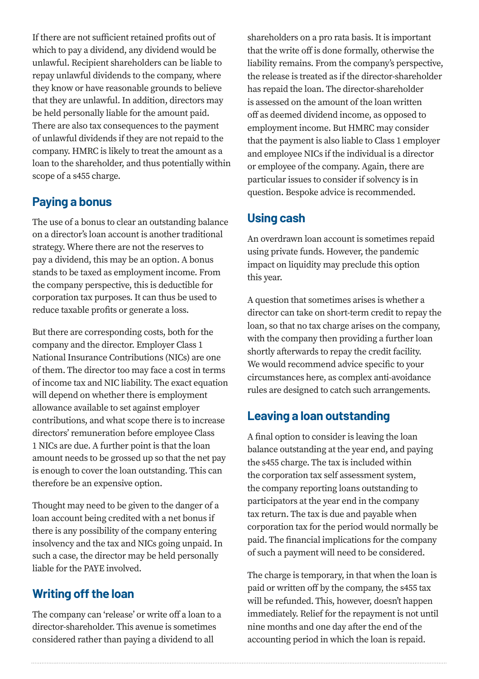If there are not sufficient retained profits out of which to pay a dividend, any dividend would be unlawful. Recipient shareholders can be liable to repay unlawful dividends to the company, where they know or have reasonable grounds to believe that they are unlawful. In addition, directors may be held personally liable for the amount paid. There are also tax consequences to the payment of unlawful dividends if they are not repaid to the company. HMRC is likely to treat the amount as a loan to the shareholder, and thus potentially within scope of a s455 charge.

### **Paying a bonus**

The use of a bonus to clear an outstanding balance on a director's loan account is another traditional strategy. Where there are not the reserves to pay a dividend, this may be an option. A bonus stands to be taxed as employment income. From the company perspective, this is deductible for corporation tax purposes. It can thus be used to reduce taxable profits or generate a loss.

But there are corresponding costs, both for the company and the director. Employer Class 1 National Insurance Contributions (NICs) are one of them. The director too may face a cost in terms of income tax and NIC liability. The exact equation will depend on whether there is employment allowance available to set against employer contributions, and what scope there is to increase directors' remuneration before employee Class 1 NICs are due. A further point is that the loan amount needs to be grossed up so that the net pay is enough to cover the loan outstanding. This can therefore be an expensive option.

Thought may need to be given to the danger of a loan account being credited with a net bonus if there is any possibility of the company entering insolvency and the tax and NICs going unpaid. In such a case, the director may be held personally liable for the PAYE involved.

## **Writing off the loan**

The company can 'release' or write off a loan to a director-shareholder. This avenue is sometimes considered rather than paying a dividend to all

shareholders on a pro rata basis. It is important that the write off is done formally, otherwise the liability remains. From the company's perspective, the release is treated as if the director-shareholder has repaid the loan. The director-shareholder is assessed on the amount of the loan written off as deemed dividend income, as opposed to employment income. But HMRC may consider that the payment is also liable to Class 1 employer and employee NICs if the individual is a director or employee of the company. Again, there are particular issues to consider if solvency is in question. Bespoke advice is recommended.

### **Using cash**

An overdrawn loan account is sometimes repaid using private funds. However, the pandemic impact on liquidity may preclude this option this year.

A question that sometimes arises is whether a director can take on short-term credit to repay the loan, so that no tax charge arises on the company, with the company then providing a further loan shortly afterwards to repay the credit facility. We would recommend advice specific to your circumstances here, as complex anti-avoidance rules are designed to catch such arrangements.

### **Leaving a loan outstanding**

A final option to consider is leaving the loan balance outstanding at the year end, and paying the s455 charge. The tax is included within the corporation tax self assessment system, the company reporting loans outstanding to participators at the year end in the company tax return. The tax is due and payable when corporation tax for the period would normally be paid. The financial implications for the company of such a payment will need to be considered.

The charge is temporary, in that when the loan is paid or written off by the company, the s455 tax will be refunded. This, however, doesn't happen immediately. Relief for the repayment is not until nine months and one day after the end of the accounting period in which the loan is repaid.